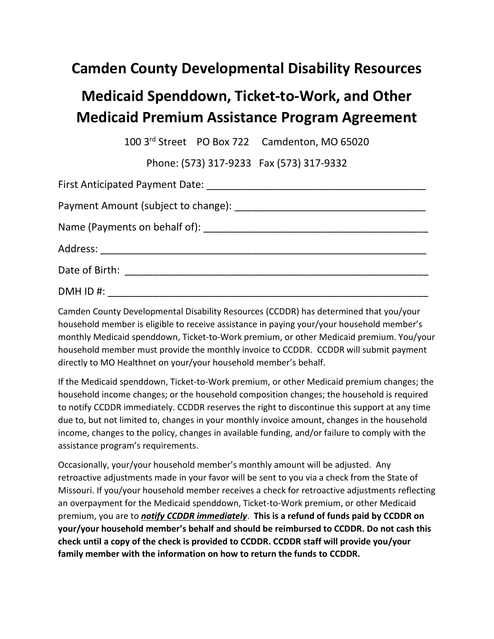## **Camden County Developmental Disability Resources**

## **Medicaid Spenddown, Ticket-to-Work, and Other Medicaid Premium Assistance Program Agreement**

100 3rd Street PO Box 722 Camdenton, MO 65020

Phone: (573) 317-9233 Fax (573) 317-9332

| DMH ID #: |  |  |  |  |
|-----------|--|--|--|--|

Camden County Developmental Disability Resources (CCDDR) has determined that you/your household member is eligible to receive assistance in paying your/your household member's monthly Medicaid spenddown, Ticket-to-Work premium, or other Medicaid premium. You/your household member must provide the monthly invoice to CCDDR. CCDDR will submit payment directly to MO Healthnet on your/your household member's behalf.

If the Medicaid spenddown, Ticket-to-Work premium, or other Medicaid premium changes; the household income changes; or the household composition changes; the household is required to notify CCDDR immediately. CCDDR reserves the right to discontinue this support at any time due to, but not limited to, changes in your monthly invoice amount, changes in the household income, changes to the policy, changes in available funding, and/or failure to comply with the assistance program's requirements.

Occasionally, your/your household member's monthly amount will be adjusted. Any retroactive adjustments made in your favor will be sent to you via a check from the State of Missouri. If you/your household member receives a check for retroactive adjustments reflecting an overpayment for the Medicaid spenddown, Ticket-to-Work premium, or other Medicaid premium, you are to *notify CCDDR immediately*. **This is a refund of funds paid by CCDDR on your/your household member's behalf and should be reimbursed to CCDDR. Do not cash this check until a copy of the check is provided to CCDDR. CCDDR staff will provide you/your family member with the information on how to return the funds to CCDDR.**